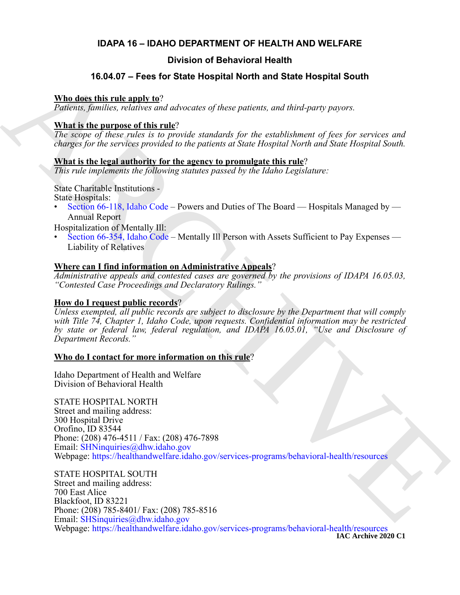# **IDAPA 16 – IDAHO DEPARTMENT OF HEALTH AND WELFARE**

# **Division of Behavioral Health**

# **16.04.07 – Fees for State Hospital North and State Hospital South**

#### **Who does this rule apply to**?

*Patients, families, relatives and advocates of these patients, and third-party payors.*

### **What is the purpose of this rule**?

*The scope of these rules is to provide standards for the establishment of fees for services and charges for the services provided to the patients at State Hospital North and State Hospital South.*

## **What is the legal authority for the agency to promulgate this rule**?

*This rule implements the following statutes passed by the Idaho Legislature:*

State Charitable Institutions - State Hospitals:

Section 66-118, Idaho Code – Powers and Duties of The Board — Hospitals Managed by — Annual Report

Hospitalization of Mentally Ill:

• Section 66-354, Idaho Code – Mentally Ill Person with Assets Sufficient to Pay Expenses — Liability of Relatives

### **Where can I find information on Administrative Appeals**?

*Administrative appeals and contested cases are governed by the provisions of IDAPA 16.05.03, "Contested Case Proceedings and Declaratory Rulings."*

## **How do I request public records**?

*Unless exempted, all public records are subject to disclosure by the Department that will comply with Title 74, Chapter 1, Idaho Code, upon requests. Confidential information may be restricted by state or federal law, federal regulation, and IDAPA 16.05.01, "Use and Disclosure of Department Records."*

#### **Who do I contact for more information on this rule**?

Idaho Department of Health and Welfare Division of Behavioral Health

**16.04.07 – Foot for State Hospital North and State Hospital South<br>
Nine does this relative and advocates of these patients, and derel-varity payers.<br>
The same papear of this relation of the papear of the set of the set o** STATE HOSPITAL NORTH Street and mailing address: 300 Hospital Drive Orofino, ID 83544 Phone: (208) 476-4511 / Fax: (208) 476-7898 Email: SHNinquiries@dhw.idaho.gov Webpage: https://healthandwelfare.idaho.gov/services-programs/behavioral-health/resources

STATE HOSPITAL SOUTH Street and mailing address: 700 East Alice Blackfoot, ID 83221 Phone: (208) 785-8401/ Fax: (208) 785-8516 Email: SHSinquiries@dhw.idaho.gov Webpage: <https://healthandwelfare.idaho.gov/services-programs/behavioral-health/resources>

**IAC Archive 2020 C1**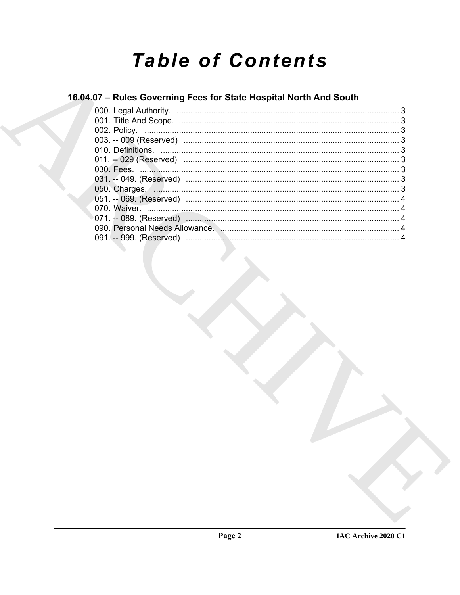# **Table of Contents**

# 16.04.07 - Rules Governing Fees for State Hospital North And South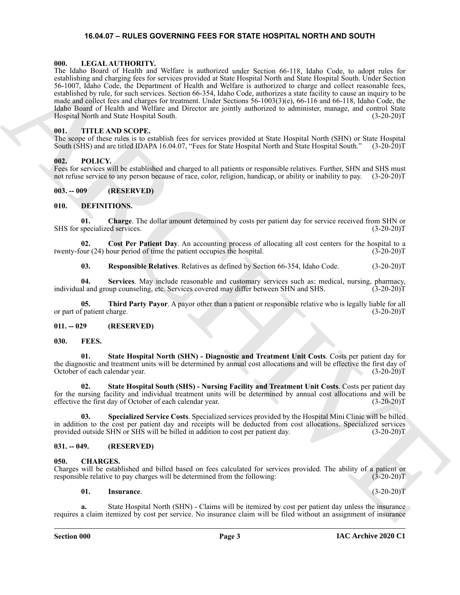#### <span id="page-2-22"></span>**16.04.07 – RULES GOVERNING FEES FOR STATE HOSPITAL NORTH AND SOUTH**

#### <span id="page-2-1"></span><span id="page-2-0"></span>**000. LEGAL AUTHORITY.**

The plane step of Bestin and Worlds and Worlds and Scholars deviation to the specific control of the specific step of the specific step of the specific step of the specific step of the specific step of the specific step o The Idaho Board of Health and Welfare is authorized under Section 66-118, Idaho Code, to adopt rules for establishing and charging fees for services provided at State Hospital North and State Hospital South. Under Section 56-1007, Idaho Code, the Department of Health and Welfare is authorized to charge and collect reasonable fees, established by rule, for such services. Section 66-354, Idaho Code, authorizes a state facility to cause an inquiry to be made and collect fees and charges for treatment. Under Sections 56-1003(3)(e), 66-116 and 66-118, Idaho Code, the Idaho Board of Health and Welfare and Director are jointly authorized to administer, manage, and control State Hospital North and State Hospital South. (3-20-20)T

#### <span id="page-2-24"></span><span id="page-2-2"></span>**001. TITLE AND SCOPE.**

The scope of these rules is to establish fees for services provided at State Hospital North (SHN) or State Hospital South (SHS) and are titled IDAPA 16.04.07, "Fees for State Hospital North and State Hospital South." (3-20-20)T

#### <span id="page-2-23"></span><span id="page-2-3"></span>**002. POLICY.**

Fees for services will be established and charged to all patients or responsible relatives. Further, SHN and SHS must not refuse service to any person because of race, color, religion, handicap, or ability or inability to pay. (3-20-20)T

#### <span id="page-2-4"></span>**003. -- 009 (RESERVED)**

#### <span id="page-2-12"></span><span id="page-2-5"></span>**010. DEFINITIONS.**

<span id="page-2-13"></span>**01.** Charge. The dollar amount determined by costs per patient day for service received from SHN or specialized services. (3-20-20)T SHS for specialized services.

**02. Cost Per Patient Day**. An accounting process of allocating all cost centers for the hospital to a twenty-four (24) hour period of time the patient occupies the hospital. (3-20-20)T

<span id="page-2-17"></span><span id="page-2-16"></span><span id="page-2-15"></span><span id="page-2-14"></span>**03.** Responsible Relatives. Relatives as defined by Section 66-354, Idaho Code.  $(3-20-20)T$ 

**04. Services**. May include reasonable and customary services such as: medical, nursing, pharmacy, individual and group counseling, etc. Services covered may differ between SHN and SHS. (3-20-20)T

**05. Third Party Payor**. A payor other than a patient or responsible relative who is legally liable for all or part of patient charge. (3-20-20)T

#### <span id="page-2-6"></span>**011. -- 029 (RESERVED)**

#### <span id="page-2-18"></span><span id="page-2-7"></span>**030. FEES.**

<span id="page-2-20"></span>**01. State Hospital North (SHN) - Diagnostic and Treatment Unit Costs**. Costs per patient day for the diagnostic and treatment units will be determined by annual cost allocations and will be effective the first day of October of each calendar year. (3-20-20)T

<span id="page-2-21"></span>**02. State Hospital South (SHS) - Nursing Facility and Treatment Unit Costs**. Costs per patient day for the nursing facility and individual treatment units will be determined by annual cost allocations and will be effective the first day of October of each calendar year. (3-20-20)T

<span id="page-2-19"></span>**03. Specialized Service Costs**. Specialized services provided by the Hospital Mini Clinic will be billed in addition to the cost per patient day and receipts will be deducted from cost allocations. Specialized services provided outside SHN or SHS will be billed in addition to cost per patient day. (3-20-20)T

#### <span id="page-2-8"></span>**031. -- 049. (RESERVED)**

#### <span id="page-2-10"></span><span id="page-2-9"></span>**050. CHARGES.**

Charges will be established and billed based on fees calculated for services provided. The ability of a patient or responsible relative to pay charges will be determined from the following:

#### <span id="page-2-11"></span>**01. Insurance**. (3-20-20)T

**a.** State Hospital North (SHN) - Claims will be itemized by cost per patient day unless the insurance requires a claim itemized by cost per service. No insurance claim will be filed without an assignment of insurance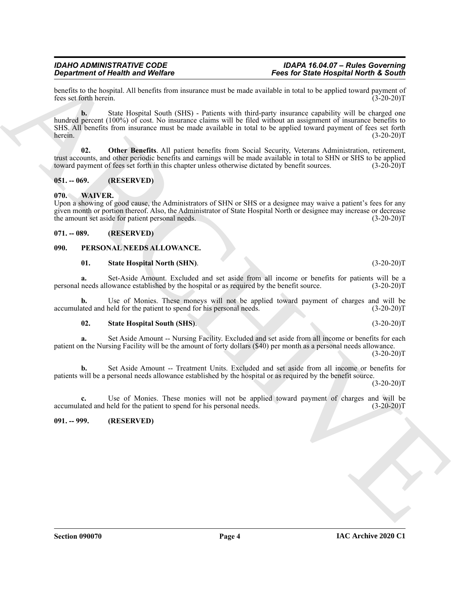#### *IDAHO ADMINISTRATIVE CODE IDAPA 16.04.07 – Rules Governing Department of Health and Welfare Fees for State Hospital North & South*

benefits to the hospital. All benefits from insurance must be made available in total to be applied toward payment of fees set forth herein. (3-20-20) fees set forth herein.

**Exercise of New York Control and Wolfing**<br>
Spacing the *South Control and Wolfins*<br>
Section 2014 Alternation and Results and Section 2014 Alternation and European Control and The *South United Section 2014*<br>
Section 2014 **b.** State Hospital South (SHS) - Patients with third-party insurance capability will be charged one hundred percent (100%) of cost. No insurance claims will be filed without an assignment of insurance benefits to SHS. All benefits from insurance must be made available in total to be applied toward payment of fees set forth herein. (3-20-20) herein. (3-20-20)T

<span id="page-3-5"></span>**02. Other Benefits**. All patient benefits from Social Security, Veterans Administration, retirement, trust accounts, and other periodic benefits and earnings will be made available in total to SHN or SHS to be applied<br>toward payment of fees set forth in this chapter unless otherwise dictated by benefit sources. (3-20-20)T toward payment of fees set forth in this chapter unless otherwise dictated by benefit sources.

# <span id="page-3-0"></span>**051. -- 069. (RESERVED)**

# <span id="page-3-9"></span><span id="page-3-1"></span>**070. WAIVER.**

Upon a showing of good cause, the Administrators of SHN or SHS or a designee may waive a patient's fees for any given month or portion thereof. Also, the Administrator of State Hospital North or designee may increase or decrease the amount set aside for patient personal needs. (3-20-20)T

# <span id="page-3-2"></span>**071. -- 089. (RESERVED)**

# <span id="page-3-3"></span>**090. PERSONAL NEEDS ALLOWANCE.**

# <span id="page-3-7"></span><span id="page-3-6"></span>**01.** State Hospital North (SHN). (3-20-20)T

**a.** Set-Aside Amount. Excluded and set aside from all income or benefits for patients will be a personal needs allowance established by the hospital or as required by the benefit source. (3-20-20)T

**b.** Use of Monies. These moneys will not be applied toward payment of charges and will be accumulated and held for the patient to spend for his personal needs. (3-20-20)T

# <span id="page-3-8"></span>**02. State Hospital South (SHS)**. (3-20-20)T

**a.** Set Aside Amount -- Nursing Facility. Excluded and set aside from all income or benefits for each patient on the Nursing Facility will be the amount of forty dollars (\$40) per month as a personal needs allowance.  $(3-20-20)T$ 

**b.** Set Aside Amount -- Treatment Units. Excluded and set aside from all income or benefits for patients will be a personal needs allowance established by the hospital or as required by the benefit source.  $(3-20-20)T$ 

**c.** Use of Monies. These monies will not be applied toward payment of charges and will be accumulated and held for the patient to spend for his personal needs. (3-20-20)T

# <span id="page-3-4"></span>**091. -- 999. (RESERVED)**